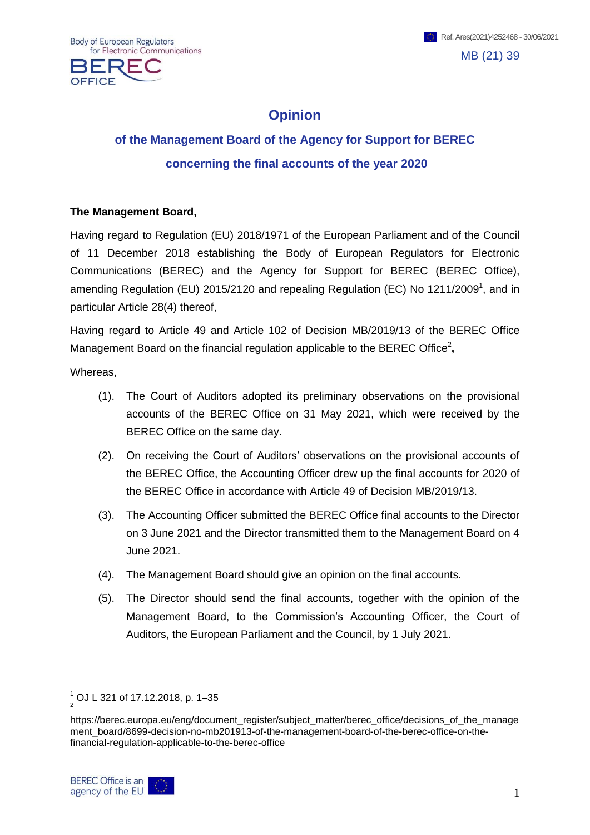OFFICE

## **Opinion**

## **of the Management Board of the Agency for Support for BEREC concerning the final accounts of the year 2020**

## **The Management Board,**

Having regard to Regulation (EU) 2018/1971 of the European Parliament and of the Council of 11 December 2018 establishing the Body of European Regulators for Electronic Communications (BEREC) and the Agency for Support for BEREC (BEREC Office), amending Regulation (EU) 2015/2120 and repealing Regulation (EC) No 1211/2009<sup>1</sup>, and in particular Article 28(4) thereof,

Having regard to Article 49 and Article 102 of Decision MB/2019/13 of the BEREC Office Management Board on the financial regulation applicable to the BEREC Office<sup>2</sup>,

Whereas,

- (1). The Court of Auditors adopted its preliminary observations on the provisional accounts of the BEREC Office on 31 May 2021, which were received by the BEREC Office on the same day.
- (2). On receiving the Court of Auditors' observations on the provisional accounts of the BEREC Office, the Accounting Officer drew up the final accounts for 2020 of the BEREC Office in accordance with Article 49 of Decision MB/2019/13.
- (3). The Accounting Officer submitted the BEREC Office final accounts to the Director on 3 June 2021 and the Director transmitted them to the Management Board on 4 June 2021.
- (4). The Management Board should give an opinion on the final accounts.
- (5). The Director should send the final accounts, together with the opinion of the Management Board, to the Commission's Accounting Officer, the Court of Auditors, the European Parliament and the Council, by 1 July 2021.

https://berec.europa.eu/eng/document\_register/subject\_matter/berec\_office/decisions\_of\_the\_manage ment\_board/8699-decision-no-mb201913-of-the-management-board-of-the-berec-office-on-thefinancial-regulation-applicable-to-the-berec-office



1

 $\frac{1}{2}$  OJ L 321 of 17.12.2018, p. 1–35